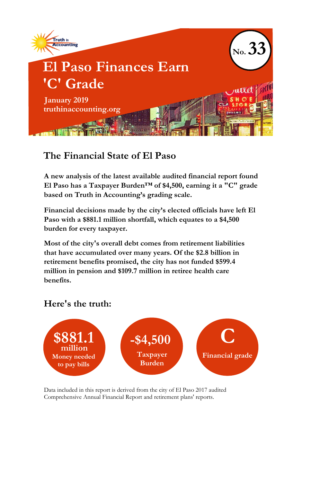

## **The Financial State of El Paso**

**A new analysis of the latest available audited financial report found El Paso has a Taxpayer Burden™ of \$4,500, earning it a "C" grade based on Truth in Accounting's grading scale.**

**Financial decisions made by the city's elected officials have left El Paso with a \$881.1 million shortfall, which equates to a \$4,500 burden for every taxpayer.**

**Most of the city's overall debt comes from retirement liabilities that have accumulated over many years. Of the \$2.8 billion in retirement benefits promised, the city has not funded \$599.4 million in pension and \$109.7 million in retiree health care benefits.**

## **Here's the truth:**



Data included in this report is derived from the city of El Paso 2017 audited Comprehensive Annual Financial Report and retirement plans' reports.